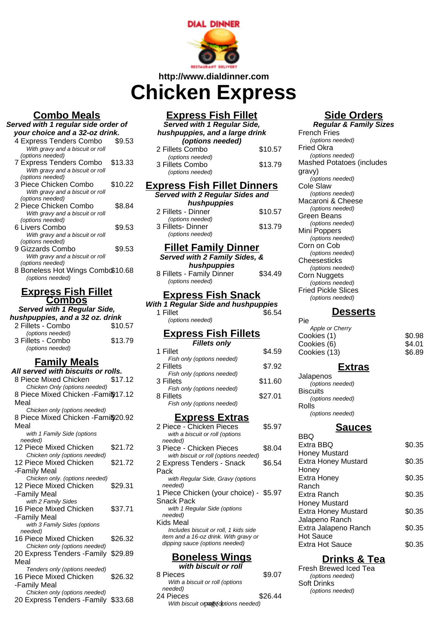

#### **http://www.dialdinner.com**

# **Chicken Express**

## **Combo Meals**

#### **Served with 1 regular side order of your choice and a 32-oz drink.**

| your choice and a 32-02 drink.   |         |  |  |
|----------------------------------|---------|--|--|
| 4 Express Tenders Combo          | \$9.53  |  |  |
| With gravy and a biscuit or roll |         |  |  |
| (options needed)                 |         |  |  |
| <b>7 Express Tenders Combo</b>   | \$13.33 |  |  |
| With gravy and a biscuit or roll |         |  |  |
| (options needed)                 |         |  |  |
| 3 Piece Chicken Combo            | \$10.22 |  |  |
| With gravy and a biscuit or roll |         |  |  |
| (options needed)                 |         |  |  |
| 2 Piece Chicken Combo            | \$8.84  |  |  |
| With gravy and a biscuit or roll |         |  |  |
| (options needed)                 |         |  |  |
| 6 Livers Combo                   | \$9.53  |  |  |
| With gravy and a biscuit or roll |         |  |  |
| (options needed)                 |         |  |  |
| 9 Gizzards Combo                 | \$9.53  |  |  |
| With gravy and a biscuit or roll |         |  |  |
| (options needed)                 |         |  |  |
|                                  |         |  |  |

8 Boneless Hot Wings Combo\$10.68 (options needed)

#### **Express Fish Fillet Combos**

| Served with 1 Regular Side,     |         |  |
|---------------------------------|---------|--|
| hushpuppies, and a 32 oz. drink |         |  |
| 2 Fillets - Combo               | \$10.57 |  |
| (options needed)                |         |  |
| 3 Fillets - Combo               | \$13.79 |  |
| (options needed)                |         |  |

## **Family Meals**

| All served with biscuits or rolls.   |         |  |
|--------------------------------------|---------|--|
| 8 Piece Mixed Chicken                | \$17.12 |  |
| Chicken Only (options needed)        |         |  |
| 8 Piece Mixed Chicken - Famil\$17.12 |         |  |
| Meal                                 |         |  |
| Chicken only (options needed)        |         |  |
| 8 Piece Mixed Chicken - Famil\$20.92 |         |  |
| Meal                                 |         |  |
| with 1 Family Side (options          |         |  |
| needed)                              |         |  |
| 12 Piece Mixed Chicken               | \$21.72 |  |
| Chicken only (options needed)        |         |  |
| 12 Piece Mixed Chicken               | \$21.72 |  |
| -Family Meal                         |         |  |
| Chicken only. (options needed)       |         |  |
| 12 Piece Mixed Chicken               | \$29.31 |  |
| -Family Meal                         |         |  |
| with 2 Family Sides                  |         |  |
| 16 Piece Mixed Chicken               | \$37.71 |  |
| -Family Meal                         |         |  |
| with 3 Family Sides (options         |         |  |
| needed)                              |         |  |
| 16 Piece Mixed Chicken               | \$26.32 |  |
| Chicken only (options needed)        |         |  |
| 20 Express Tenders - Family          | \$29.89 |  |
| Meal                                 |         |  |
| Tenders only (options needed)        |         |  |
| 16 Piece Mixed Chicken               | \$26.32 |  |
| -Family Meal                         |         |  |
| Chicken only (options needed)        |         |  |
| 20 Express Tenders - Family \$33.68  |         |  |

# **Express Fish Fillet**

| <b>Served with 1 Regular Side,</b><br>hushpuppies, and a large drink<br>(options needed) |         |  |
|------------------------------------------------------------------------------------------|---------|--|
| 2 Fillets Combo                                                                          | \$10.57 |  |
| (options needed)<br>3 Fillets Combo<br>(options needed)                                  | \$13.79 |  |
|                                                                                          |         |  |

# **Express Fish Fillet Dinners**

| Served with 2 Regular Sides and |         |
|---------------------------------|---------|
| hushpuppies                     |         |
| 2 Fillets - Dinner              | \$10.57 |
| (options needed)                |         |
| 3 Fillets-Dinner                | \$13.79 |
| (options needed)                |         |

### **Fillet Family Dinner**

| Served with 2 Family Sides, &                 |         |
|-----------------------------------------------|---------|
| hushpuppies                                   |         |
| 8 Fillets - Family Dinner<br>(options needed) | \$34.49 |

## **Express Fish Snack**

**With 1 Regular Side and hushpuppies** 1 Fillet \$6.54 (options needed)

#### **Express Fish Fillets Fillets only**

| 1 Fillet                   | \$4.59  |
|----------------------------|---------|
| Fish only (options needed) |         |
| 2 Fillets                  | \$7.92  |
| Fish only (options needed) |         |
| 3 Fillets                  | \$11.60 |
| Fish only (options needed) |         |
| 8 Fillets                  | \$27.01 |
| Fish only (options needed) |         |
|                            |         |

### **Express Extras**

| 2 Piece - Chicken Pieces               | \$5.97 |
|----------------------------------------|--------|
| with a biscuit or roll (options        |        |
| needed)                                |        |
| 3 Piece - Chicken Pieces               | \$8.04 |
| with biscuit or roll (options needed)  |        |
| 2 Express Tenders - Snack              | \$6.54 |
| Pack                                   |        |
| with Regular Side, Gravy (options      |        |
| needed)                                |        |
| 1 Piece Chicken (your choice) - \$5.97 |        |
| Snack Pack                             |        |
| with 1 Regular Side (options           |        |
| needed)                                |        |
| Kids Meal                              |        |
| Includes biscuit or roll, 1 kids side  |        |
| item and a 16-oz drink. With gravy or  |        |
| dipping sauce (options needed)         |        |
|                                        |        |

#### **Boneless Wings with biscuit or roll**

| ,,,,,,,,,,,,,,,,,,,,,,,,           |         |
|------------------------------------|---------|
| 8 Pieces                           | \$9.07  |
| With a biscuit or roll (options    |         |
| needed)                            |         |
| 24 Pieces                          | \$26.44 |
| With biscuit opage dptions needed) |         |

# **Side Orders**

**Regular & Family Sizes** French Fries (options needed) Fried Okra (options needed) Mashed Potatoes (includes gravy) (options needed) Cole Slaw (options needed) Macaroni & Cheese (options needed) Green Beans (options needed) Mini Poppers (options needed) Corn on Cob (options needed) **Cheesesticks** (options needed) Corn Nuggets (options needed) Fried Pickle Slices (options needed)

#### **Desserts**

| Pie             |        |
|-----------------|--------|
| Apple or Cherry |        |
| Cookies (1)     | \$0.98 |
| Cookies (6)     | \$4.01 |
| Cookies (13)    | \$6.89 |
|                 |        |

#### **Extras**

Jalapenos (options needed) **Biscuits** (options needed) Rolls (options needed)

## **Sauces**

| BBQ                        |        |
|----------------------------|--------|
| Extra BBQ                  | \$0.35 |
| <b>Honey Mustard</b>       |        |
| <b>Extra Honey Mustard</b> | \$0.35 |
| Honey                      |        |
| <b>Extra Honey</b>         | \$0.35 |
| Ranch                      |        |
| Extra Ranch                | \$0.35 |
| <b>Honey Mustard</b>       |        |
| <b>Extra Honey Mustard</b> | \$0.35 |
| Jalapeno Ranch             |        |
| Extra Jalapeno Ranch       | \$0.35 |
| <b>Hot Sauce</b>           |        |
| Extra Hot Sauce            | SO 35  |
|                            |        |

## **Drinks & Tea**

Fresh Brewed Iced Tea (options needed) Soft Drinks (options needed)